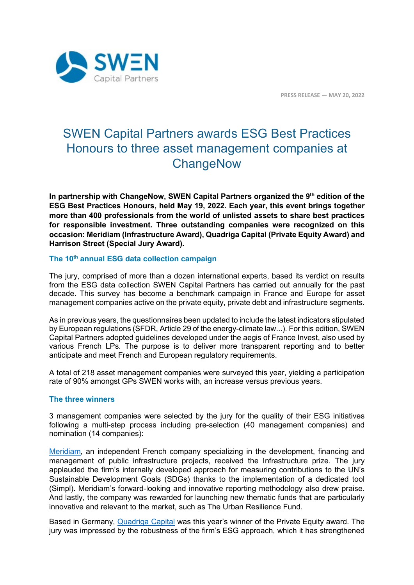

**PRESS RELEASE — MAY 20, 2022**

# SWEN Capital Partners awards ESG Best Practices Honours to three asset management companies at **ChangeNow**

**In partnership with ChangeNow, SWEN Capital Partners organized the 9th edition of the ESG Best Practices Honours, held May 19, 2022. Each year, this event brings together more than 400 professionals from the world of unlisted assets to share best practices for responsible investment. Three outstanding companies were recognized on this occasion: Meridiam (Infrastructure Award), Quadriga Capital (Private Equity Award) and Harrison Street (Special Jury Award).**

## **The 10th annual ESG data collection campaign**

The jury, comprised of more than a dozen international experts, based its verdict on results from the ESG data collection SWEN Capital Partners has carried out annually for the past decade. This survey has become a benchmark campaign in France and Europe for asset management companies active on the private equity, private debt and infrastructure segments.

As in previous years, the questionnaires been updated to include the latest indicators stipulated by European regulations (SFDR, Article 29 of the energy-climate law...). For this edition, SWEN Capital Partners adopted guidelines developed under the aegis of France Invest, also used by various French LPs. The purpose is to deliver more transparent reporting and to better anticipate and meet French and European regulatory requirements.

A total of 218 asset management companies were surveyed this year, yielding a participation rate of 90% amongst GPs SWEN works with, an increase versus previous years.

### **The three winners**

3 management companies were selected by the jury for the quality of their ESG initiatives following a multi-step process including pre-selection (40 management companies) and nomination (14 companies):

[Meridiam,](https://www.meridiam.com/?lang=fr) an independent French company specializing in the development, financing and management of public infrastructure projects, received the Infrastructure prize. The jury applauded the firm's internally developed approach for measuring contributions to the UN's Sustainable Development Goals (SDGs) thanks to the implementation of a dedicated tool (Simpl). Meridiam's forward-looking and innovative reporting methodology also drew praise. And lastly, the company was rewarded for launching new thematic funds that are particularly innovative and relevant to the market, such as The Urban Resilience Fund.

Based in Germany, [Quadriga Capital](https://www.quadriga-capital.de/en/) was this year's winner of the Private Equity award. The jury was impressed by the robustness of the firm's ESG approach, which it has strengthened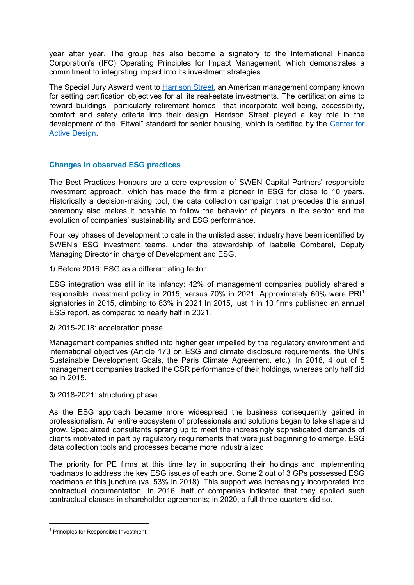year after year. The group has also become a signatory to the International Finance Corporation's (IFC) Operating Principles for Impact Management, which demonstrates a commitment to integrating impact into its investment strategies.

The Special Jury Asward went to [Harrison Street,](https://www.harrisonst.com/) an American management company known for setting certification objectives for all its real-estate investments. The certification aims to reward buildings—particularly retirement homes—that incorporate well-being, accessibility, comfort and safety criteria into their design. Harrison Street played a key role in the development of the "Fitwel" standard for senior housing, which is certified by the [Center for](https://www.fitwel.org/centerforactivedesign/)  [Active Design.](https://www.fitwel.org/centerforactivedesign/)

## **Changes in observed ESG practices**

The Best Practices Honours are a core expression of SWEN Capital Partners' responsible investment approach, which has made the firm a pioneer in ESG for close to 10 years. Historically a decision-making tool, the data collection campaign that precedes this annual ceremony also makes it possible to follow the behavior of players in the sector and the evolution of companies' sustainability and ESG performance.

Four key phases of development to date in the unlisted asset industry have been identified by SWEN's ESG investment teams, under the stewardship of Isabelle Combarel, Deputy Managing Director in charge of Development and ESG.

**1/** Before 2016: ESG as a differentiating factor

ESG integration was still in its infancy: 42% of management companies publicly shared a responsible investment policy in 2015, versus 70% in 2021. Approximately 60% were PRI[1](#page-1-0) signatories in 2015, climbing to 83% in 2021 In 2015, just 1 in 10 firms published an annual ESG report, as compared to nearly half in 2021.

## **2/** 2015-2018: acceleration phase

Management companies shifted into higher gear impelled by the regulatory environment and international objectives (Article 173 on ESG and climate disclosure requirements, the UN's Sustainable Development Goals, the Paris Climate Agreement, etc.). In 2018, 4 out of 5 management companies tracked the CSR performance of their holdings, whereas only half did so in 2015.

## **3/** 2018-2021: structuring phase

As the ESG approach became more widespread the business consequently gained in professionalism. An entire ecosystem of professionals and solutions began to take shape and grow. Specialized consultants sprang up to meet the increasingly sophisticated demands of clients motivated in part by regulatory requirements that were just beginning to emerge. ESG data collection tools and processes became more industrialized.

The priority for PE firms at this time lay in supporting their holdings and implementing roadmaps to address the key ESG issues of each one. Some 2 out of 3 GPs possessed ESG roadmaps at this juncture (vs. 53% in 2018). This support was increasingly incorporated into contractual documentation. In 2016, half of companies indicated that they applied such contractual clauses in shareholder agreements; in 2020, a full three-quarters did so.

<span id="page-1-0"></span><sup>1</sup> Principles for Responsible Investment.